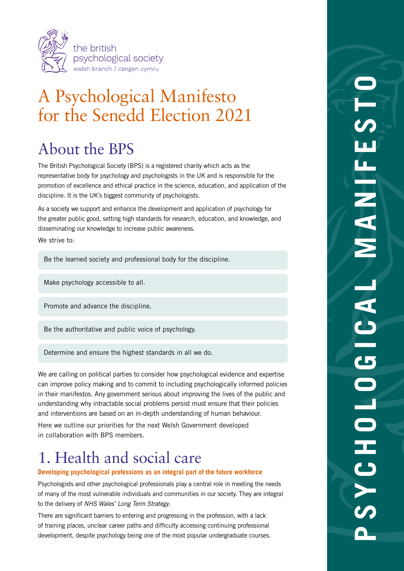

# A Psychological Manifesto for the Senedd Election 2021

## About the BPS

The British Psychological Society (BPS) is a registered charity which acts as the representative body for psychology and psychologists in the UK and is responsible for the promotion of excellence and ethical practice in the science, education, and application of the discipline. It is the UK's biggest community of psychologists.

As a society we support and enhance the development and application of psychology for the greater public good, setting high standards for research, education, and knowledge, and disseminating our knowledge to increase public awareness.

We strive to:

Be the learned society and professional body for the discipline.

Make psychology accessible to all.

Promote and advance the discipline.

Be the authoritative and public voice of psychology.

Determine and ensure the highest standards in all we do.

We are calling on political parties to consider how psychological evidence and expertise can improve policy making and to commit to including psychologically informed policies in their manifestos. Any government serious about improving the lives of the public and understanding why intractable social problems persist must ensure that their policies and interventions are based on an in-depth understanding of human behaviour.

Here we outline our priorities for the next Welsh Government developed in collaboration with BPS members.

### 1. Health and social care

#### **Developing psychological professions as an integral part of the future workforce**

Psychologists and other psychological professionals play a central role in meeting the needs of many of the most vulnerable individuals and communities in our society. They are integral to the delivery of *NHS Wales' Long Term Strategy*.

There are significant barriers to entering and progressing in the profession, with a lack of training places, unclear career paths and difficulty accessing continuing professional development, despite psychology being one of the most popular undergraduate courses.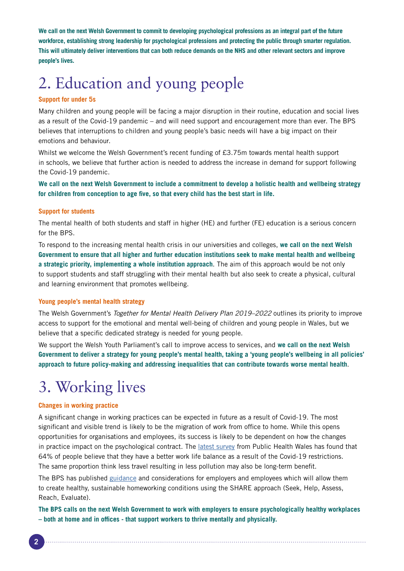**We call on the next Welsh Government to commit to developing psychological professions as an integral part of the future workforce, establishing strong leadership for psychological professions and protecting the public through smarter regulation. This will ultimately deliver interventions that can both reduce demands on the NHS and other relevant sectors and improve people's lives.**

## 2. Education and young people

#### **Support for under 5s**

Many children and young people will be facing a major disruption in their routine, education and social lives as a result of the Covid-19 pandemic – and will need support and encouragement more than ever. The BPS believes that interruptions to children and young people's basic needs will have a big impact on their emotions and behaviour.

Whilst we welcome the Welsh Government's recent funding of £3.75m towards mental health support in schools, we believe that further action is needed to address the increase in demand for support following the Covid-19 pandemic.

**We call on the next Welsh Government to include a commitment to develop a holistic health and wellbeing strategy for children from conception to age five, so that every child has the best start in life.**

#### **Support for students**

The mental health of both students and staff in higher (HE) and further (FE) education is a serious concern for the BPS.

To respond to the increasing mental health crisis in our universities and colleges, **we call on the next Welsh Government to ensure that all higher and further education institutions seek to make mental health and wellbeing a strategic priority, implementing a whole institution approach**. The aim of this approach would be not only to support students and staff struggling with their mental health but also seek to create a physical, cultural and learning environment that promotes wellbeing.

#### **Young people's mental health strategy**

The Welsh Government's *Together for Mental Health Delivery Plan 2019–2022* outlines its priority to improve access to support for the emotional and mental well-being of children and young people in Wales, but we believe that a specific dedicated strategy is needed for young people.

We support the Welsh Youth Parliament's call to improve access to services, and **we call on the next Welsh Government to deliver a strategy for young people's mental health, taking a 'young people's wellbeing in all policies' approach to future policy-making and addressing inequalities that can contribute towards worse mental health**.

### 3. Working lives

#### **Changes in working practice**

A significant change in working practices can be expected in future as a result of Covid-19. The most significant and visible trend is likely to be the migration of work from office to home. While this opens opportunities for organisations and employees, its success is likely to be dependent on how the changes in practice impact on the psychological contract. The [latest survey](https://phw.nhs.wales/topics/latest-information-on-novel-coronavirus-covid-19/how-are-you-doing/weekly-hayd-reports/week-8-report-how-are-we-doing-in-wales) from Public Health Wales has found that 64% of people believe that they have a better work life balance as a result of the Covid-19 restrictions. The same proportion think less travel resulting in less pollution may also be long-term benefit.

The BPS has published [guidance](https://www.bps.org.uk/coronavirus-resources/public/working-from-home) and considerations for employers and employees which will allow them to create healthy, sustainable homeworking conditions using the SHARE approach (Seek, Help, Assess, Reach, Evaluate).

**The BPS calls on the next Welsh Government to work with employers to ensure psychologically healthy workplaces – both at home and in offices - that support workers to thrive mentally and physically.**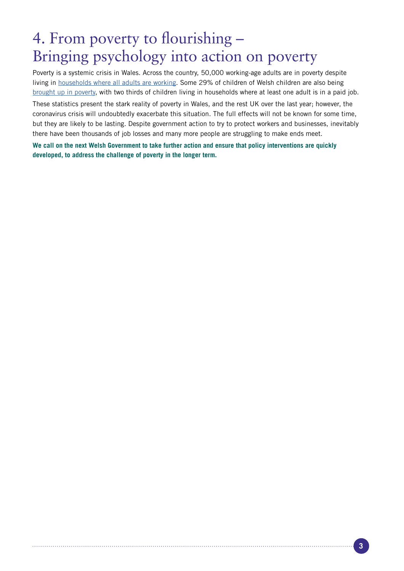### 4. From poverty to flourishing – Bringing psychology into action on poverty

Poverty is a systemic crisis in Wales. Across the country, 50,000 working-age adults are in poverty despite living in [households where all adults are working](https://statswales.gov.wales/Catalogue/Community-Safety-and-Social-Inclusion/Poverty/householdbelowaverageincome-by-year). Some 29% of children of Welsh children are also being [brought up in poverty](https://statswales.gov.wales/Catalogue/Community-Safety-and-Social-Inclusion/Poverty), with two thirds of children living in households where at least one adult is in a paid job.

These statistics present the stark reality of poverty in Wales, and the rest UK over the last year; however, the coronavirus crisis will undoubtedly exacerbate this situation. The full effects will not be known for some time, but they are likely to be lasting. Despite government action to try to protect workers and businesses, inevitably there have been thousands of job losses and many more people are struggling to make ends meet.

**We call on the next Welsh Government to take further action and ensure that policy interventions are quickly developed, to address the challenge of poverty in the longer term.**